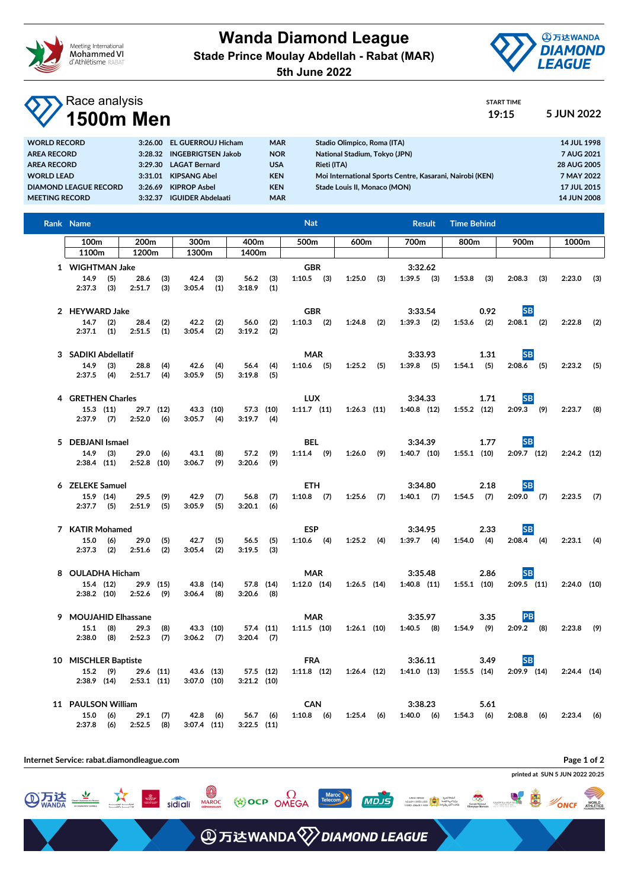

**Wanda Diamond League Stade Prince Moulay Abdellah - Rabat (MAR)**



START TIME

**5th June 2022**

## Race analysis **1500m Men 19:15 5 JUN 2022**

| <b>WORLD RECORD</b>          |         | 3:26.00 EL GUERROUJ Hicham | <b>MAR</b> | Stadio Olimpico, Roma (ITA)                              | 14 JUL 1998        |
|------------------------------|---------|----------------------------|------------|----------------------------------------------------------|--------------------|
| <b>AREA RECORD</b>           |         | 3:28.32 INGEBRIGTSEN Jakob | <b>NOR</b> | National Stadium, Tokyo (JPN)                            | 7 AUG 2021         |
| <b>AREA RECORD</b>           |         | 3:29.30 LAGAT Bernard      | <b>USA</b> | <b>Rieti (ITA)</b>                                       | 28 AUG 2005        |
| <b>WORLD LEAD</b>            |         | 3:31.01 KIPSANG Abel       | <b>KEN</b> | Moi International Sports Centre, Kasarani, Nairobi (KEN) | 7 MAY 2022         |
| <b>DIAMOND LEAGUE RECORD</b> | 3:26.69 | <b>KIPROP Asbel</b>        | <b>KEN</b> | Stade Louis II. Monaco (MON)                             | 17 JUL 2015        |
| <b>MEETING RECORD</b>        | 3:32.37 | <b>IGUIDER Abdelaati</b>   | <b>MAR</b> |                                                          | <b>14 JUN 2008</b> |
|                              |         |                            |            |                                                          |                    |

| Rank Name<br><b>Nat</b>                                           |                       |            |                            |                          |                             |                   | <b>Time Behind</b><br><b>Result</b> |                  |                 |      |                            |      |               |       |                            |     |               |     |
|-------------------------------------------------------------------|-----------------------|------------|----------------------------|--------------------------|-----------------------------|-------------------|-------------------------------------|------------------|-----------------|------|----------------------------|------|---------------|-------|----------------------------|-----|---------------|-----|
| 100 <sub>m</sub>                                                  | 200m<br>300m<br>400m  |            |                            | 500 <sub>m</sub><br>600m |                             |                   |                                     | 700 <sub>m</sub> |                 | 800m |                            | 900m |               | 1000m |                            |     |               |     |
| 1100m                                                             | 1200 <sub>m</sub>     |            | 1300m                      |                          | 1400m                       |                   |                                     |                  |                 |      |                            |      |               |       |                            |     |               |     |
| 1 WIGHTMAN Jake<br>$14.9$ (5)<br>$2:37.3$ (3)                     | 28.6<br>2:51.7        | (3)<br>(3) | 42.4<br>3:05.4             | (3)<br>(1)               | 3:18.9                      | $56.2$ (3)<br>(1) | <b>GBR</b><br>$1:10.5$ (3)          |                  | 1:25.0          | (3)  | 3:32.62<br>$1:39.5$ (3)    |      | 1:53.8        | (3)   | 2:08.3                     | (3) | 2:23.0        | (3) |
| 2 HEYWARD Jake<br>14.7<br>(2)<br>$2:37.1$ (1)                     | 28.4<br>2:51.5        | (2)<br>(1) | 42.2<br>3:05.4             | (2)<br>(2)               | 56.0<br>3:19.2              | (2)<br>(2)        | <b>GBR</b><br>$1:10.3$ (2)          |                  | $1:24.8$ (2)    |      | 3:33.54<br>$1:39.3$ (2)    |      | $1:53.6$ (2)  | 0.92  | <b>SB</b><br>$2:08.1$ (2)  |     | 2:22.8        | (2) |
| 3 SADIKI Abdellatif<br>14.9<br>(3)<br>$2:37.5$ (4)                | 28.8<br>2:51.7        | (4)<br>(4) | 42.6<br>3:05.9             | (4)<br>(5)               | 56.4<br>3:19.8              | (4)<br>(5)        | <b>MAR</b><br>$1:10.6$ (5)          |                  | $1:25.2$ (5)    |      | 3:33.93<br>$1:39.8$ (5)    |      | $1:54.1$ (5)  | 1.31  | <b>SB</b><br>$2:08.6$ (5)  |     | $2:23.2$ (5)  |     |
| 4 GRETHEN Charles<br>$15.3$ $(11)$<br>$2:37.9$ (7) $2:52.0$ (6)   |                       | 29.7 (12)  | 43.3 (10)<br>$3:05.7$ (4)  |                          | 57.3 (10)<br>$3:19.7$ (4)   |                   | <b>LUX</b><br>$1:11.7$ $(11)$       |                  | $1:26.3$ $(11)$ |      | 3:34.33<br>$1:40.8$ (12)   |      | $1:55.2$ (12) | 1.71  | <b>SB</b><br>$2:09.3$ (9)  |     | $2:23.7$ (8)  |     |
| 5 DEBJANI Ismael<br>$14.9$ (3)<br>$2:38.4$ (11)                   | 29.0<br>$2:52.8$ (10) | (6)        | 43.1<br>3:06.7             | (8)<br>(9)               | 57.2<br>3:20.6              | (9)<br>(9)        | BEL<br>$1:11.4$ (9)                 |                  | $1:26.0$ (9)    |      | 3:34.39<br>$1:40.7$ (10)   |      | $1:55.1$ (10) | 1.77  | <b>SB</b><br>$2:09.7$ (12) |     | $2:24.2$ (12) |     |
| 6 ZELEKE Samuel<br>15.9 (14)<br>$2:37.7$ (5) $2:51.9$ (5)         | 29.5                  | (9)        | 42.9<br>3:05.9             | (7)<br>(5)               | 56.8<br>3:20.1              | (7)<br>(6)        | <b>ETH</b><br>$1:10.8$ (7)          |                  | $1:25.6$ (7)    |      | 3:34.80<br>$1:40.1$ (7)    |      | $1:54.5$ (7)  | 2.18  | <b>SB</b><br>$2:09.0$ (7)  |     | $2:23.5$ (7)  |     |
| 7 KATIR Mohamed<br>15.0<br>(6)<br>$2:37.3$ (2)                    | 29.0<br>2:51.6        | (5)<br>(2) | 42.7<br>3:05.4             | (5)<br>(2)               | 56.5<br>3:19.5              | (5)<br>(3)        | <b>ESP</b><br>$1:10.6$ (4)          |                  | $1:25.2$ (4)    |      | 3:34.95<br>$1:39.7$ (4)    |      | $1:54.0$ (4)  | 2.33  | <b>SB</b><br>$2:08.4$ (4)  |     | $2:23.1$ (4)  |     |
| 8 OULADHA Hicham<br>15.4 (12)<br>$2:38.2$ (10)                    | $2:52.6$ (9)          | 29.9 (15)  | 43.8 (14)<br>3:06.4        | (8)                      | 57.8 (14)<br>$3:20.6$ (8)   |                   | <b>MAR</b><br>$1:12.0$ $(14)$       |                  | $1:26.5$ (14)   |      | 3:35.48<br>$1:40.8$ (11)   |      | $1:55.1$ (10) | 2.86  | <b>SB</b><br>$2:09.5$ (11) |     | $2:24.0$ (10) |     |
| 9 MOUJAHID Elhassane<br>$15.1$ (8)<br>$2:38.0$ (8)                | 29.3<br>2:52.3        | (8)<br>(7) | 43.3 (10)<br>$3:06.2$ (7)  |                          | 57.4 (11)<br>$3:20.4$ (7)   |                   | <b>MAR</b><br>$1:11.5$ (10)         |                  | $1:26.1$ (10)   |      | 3:35.97<br>$1:40.5$ (8)    |      | $1:54.9$ (9)  | 3.35  | <b>PB</b><br>$2:09.2$ (8)  |     | $2:23.8$ (9)  |     |
| 10 MISCHLER Baptiste<br>$15.2$ (9)<br>$2:38.9$ (14) $2:53.1$ (11) |                       | 29.6 (11)  | 43.6 (13)<br>$3:07.0$ (10) |                          | 57.5 (12)<br>$3:21.2$ (10)  |                   | <b>FRA</b><br>$1:11.8$ (12)         |                  | $1:26.4$ (12)   |      | 3:36.11<br>$1:41.0$ $(13)$ |      | $1:55.5$ (14) | 3.49  | <b>SB</b><br>$2:09.9$ (14) |     | $2:24.4$ (14) |     |
| 11 PAULSON William<br>$15.0$ (6)<br>2:37.8 (6)                    | 29.1<br>$2:52.5$ (8)  | (7)        | $3:07.4$ (11)              | 42.8 (6)                 | $56.7$ (6)<br>$3:22.5$ (11) |                   | <b>CAN</b><br>$1:10.8$ (6)          |                  | $1:25.4$ (6)    |      | 3:38.23<br>$1:40.0$ (6)    |      | $1:54.3$ (6)  | 5.61  | $2:08.8$ (6)               |     | 2:23.4        | (6) |